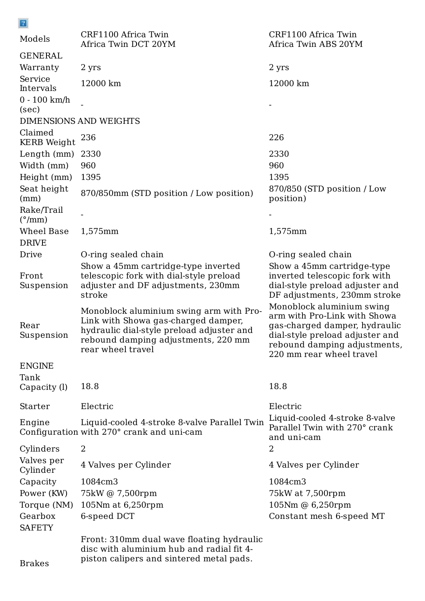| $\vert 2 \vert$                      |                                                                                                                                                                                         |                                                                                                                                                                                           |  |
|--------------------------------------|-----------------------------------------------------------------------------------------------------------------------------------------------------------------------------------------|-------------------------------------------------------------------------------------------------------------------------------------------------------------------------------------------|--|
| Models                               | CRF1100 Africa Twin<br>Africa Twin DCT 20YM                                                                                                                                             | CRF1100 Africa Twin<br>Africa Twin ABS 20YM                                                                                                                                               |  |
| <b>GENERAL</b>                       |                                                                                                                                                                                         |                                                                                                                                                                                           |  |
| Warranty                             | 2 yrs                                                                                                                                                                                   | 2 yrs                                                                                                                                                                                     |  |
| Service<br>Intervals                 | 12000 km                                                                                                                                                                                | 12000 km                                                                                                                                                                                  |  |
| $0 - 100$ km/h                       |                                                                                                                                                                                         |                                                                                                                                                                                           |  |
| (sec)                                |                                                                                                                                                                                         |                                                                                                                                                                                           |  |
| DIMENSIONS AND WEIGHTS               |                                                                                                                                                                                         |                                                                                                                                                                                           |  |
| Claimed<br><b>KERB</b> Weight        | 236                                                                                                                                                                                     | 226                                                                                                                                                                                       |  |
| Length (mm)                          | 2330                                                                                                                                                                                    | 2330                                                                                                                                                                                      |  |
| Width (mm)                           | 960                                                                                                                                                                                     | 960                                                                                                                                                                                       |  |
| Height (mm)                          | 1395                                                                                                                                                                                    | 1395                                                                                                                                                                                      |  |
| Seat height<br>(mm)                  | 870/850mm (STD position / Low position)                                                                                                                                                 | 870/850 (STD position / Low<br>position)                                                                                                                                                  |  |
| Rake/Trail<br>$(^{\circ}/\text{mm})$ |                                                                                                                                                                                         |                                                                                                                                                                                           |  |
| Wheel Base                           | 1,575mm                                                                                                                                                                                 | 1,575mm                                                                                                                                                                                   |  |
| <b>DRIVE</b>                         |                                                                                                                                                                                         |                                                                                                                                                                                           |  |
| Drive                                | O-ring sealed chain                                                                                                                                                                     | O-ring sealed chain                                                                                                                                                                       |  |
| Front<br>Suspension                  | Show a 45mm cartridge-type inverted<br>telescopic fork with dial-style preload<br>adjuster and DF adjustments, 230mm<br>stroke                                                          | Show a 45mm cartridge-type<br>inverted telescopic fork with<br>dial-style preload adjuster and<br>DF adjustments, 230mm stroke                                                            |  |
| Rear<br>Suspension                   | Monoblock aluminium swing arm with Pro-<br>Link with Showa gas-charged damper,<br>hydraulic dial-style preload adjuster and<br>rebound damping adjustments, 220 mm<br>rear wheel travel | Monoblock aluminium swing<br>arm with Pro-Link with Showa<br>gas-charged damper, hydraulic<br>dial-style preload adjuster and<br>rebound damping adjustments,<br>220 mm rear wheel travel |  |
| <b>ENGINE</b><br>Tank                |                                                                                                                                                                                         |                                                                                                                                                                                           |  |
| Capacity (l)                         | 18.8                                                                                                                                                                                    | 18.8                                                                                                                                                                                      |  |
| Starter                              | Electric                                                                                                                                                                                | Electric                                                                                                                                                                                  |  |
| Engine                               | Liquid-cooled 4-stroke 8-valve Parallel Twin<br>Configuration with 270° crank and uni-cam                                                                                               | Liquid-cooled 4-stroke 8-valve<br>Parallel Twin with 270° crank<br>and uni-cam                                                                                                            |  |
| Cylinders                            | 2                                                                                                                                                                                       | 2                                                                                                                                                                                         |  |

Valves per Cylinder 4 Valves per Cylinder 4 Valves per Cylinder Capacity 1084cm3 1084cm3 Power (KW) 75kW @ 7,500rpm 75kW at 7,500rpm Torque (NM) 105Nm at 6,250rpm 105Nm @ 6,250rpm Gearbox 6-speed DCT Constant mesh 6-speed MT **SAFETY** 

Brakes

Front: 310mm dual wave floating hydraulic disc with aluminium hub and radial fit 4 piston calipers and sintered metal pads.